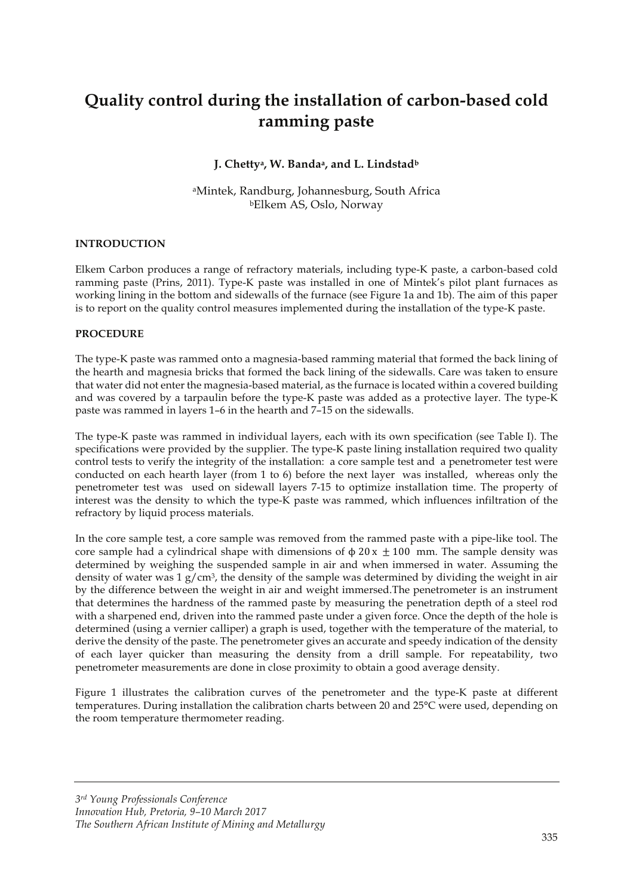# **Quality control during the installation of carbon-based cold ramming paste**

### **J. Chettya, W. Bandaa, and L. Lindstadb**

aMintek, Randburg, Johannesburg, South Africa bElkem AS, Oslo, Norway

#### **INTRODUCTION**

Elkem Carbon produces a range of refractory materials, including type-K paste, a carbon-based cold ramming paste (Prins, 2011). Type-K paste was installed in one of Mintek's pilot plant furnaces as working lining in the bottom and sidewalls of the furnace (see Figure 1a and 1b). The aim of this paper is to report on the quality control measures implemented during the installation of the type-K paste.

#### **PROCEDURE**

The type-K paste was rammed onto a magnesia-based ramming material that formed the back lining of the hearth and magnesia bricks that formed the back lining of the sidewalls. Care was taken to ensure that water did not enter the magnesia-based material, as the furnace is located within a covered building and was covered by a tarpaulin before the type-K paste was added as a protective layer. The type-K paste was rammed in layers 1–6 in the hearth and 7–15 on the sidewalls.

The type-K paste was rammed in individual layers, each with its own specification (see Table I). The specifications were provided by the supplier. The type-K paste lining installation required two quality control tests to verify the integrity of the installation: a core sample test and a penetrometer test were conducted on each hearth layer (from 1 to 6) before the next layer was installed, whereas only the penetrometer test was used on sidewall layers 7-15 to optimize installation time. The property of interest was the density to which the type-K paste was rammed, which influences infiltration of the refractory by liquid process materials.

In the core sample test, a core sample was removed from the rammed paste with a pipe-like tool. The core sample had a cylindrical shape with dimensions of  $\phi$  20 x  $\pm$  100 mm. The sample density was determined by weighing the suspended sample in air and when immersed in water. Assuming the density of water was  $1 g/cm<sup>3</sup>$ , the density of the sample was determined by dividing the weight in air by the difference between the weight in air and weight immersed.The penetrometer is an instrument that determines the hardness of the rammed paste by measuring the penetration depth of a steel rod with a sharpened end, driven into the rammed paste under a given force. Once the depth of the hole is determined (using a vernier calliper) a graph is used, together with the temperature of the material, to derive the density of the paste. The penetrometer gives an accurate and speedy indication of the density of each layer quicker than measuring the density from a drill sample. For repeatability, two penetrometer measurements are done in close proximity to obtain a good average density.

Figure 1 illustrates the calibration curves of the penetrometer and the type-K paste at different temperatures. During installation the calibration charts between 20 and 25°C were used, depending on the room temperature thermometer reading.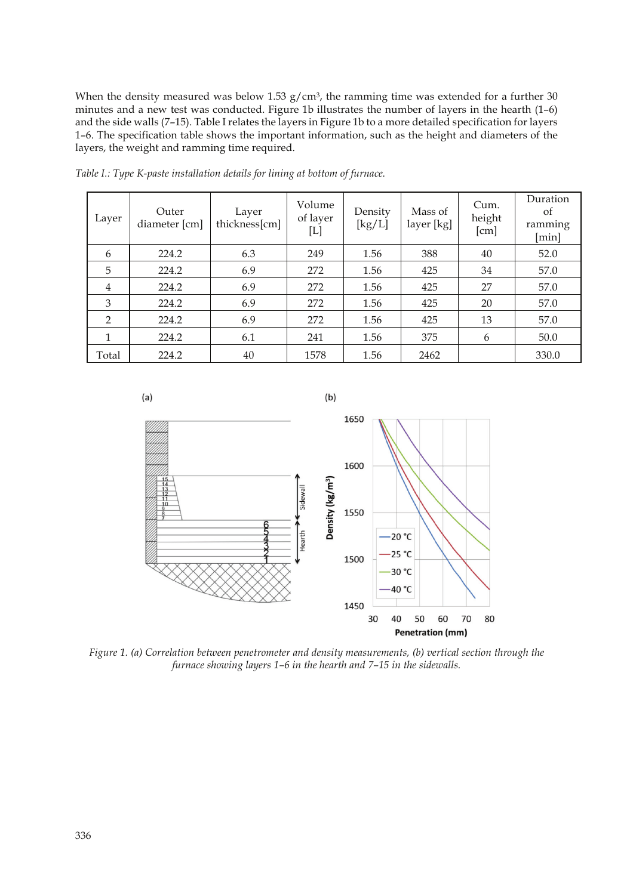When the density measured was below 1.53  $g/cm<sup>3</sup>$ , the ramming time was extended for a further 30 minutes and a new test was conducted. Figure 1b illustrates the number of layers in the hearth (1–6) and the side walls (7–15). Table I relates the layers in Figure 1b to a more detailed specification for layers 1–6. The specification table shows the important information, such as the height and diameters of the layers, the weight and ramming time required.

| Layer | Outer<br>diameter [cm] | Layer<br>thickness[cm] | Volume<br>of layer<br>$[{\rm L}]$ | Density<br>$\left[\frac{\text{kg}}{\text{L}}\right]$ | Mass of<br>layer [kg] | Cum.<br>height<br>[cm] | Duration<br>of<br>ramming<br>[min] |
|-------|------------------------|------------------------|-----------------------------------|------------------------------------------------------|-----------------------|------------------------|------------------------------------|
| 6     | 224.2                  | 6.3                    | 249                               | 1.56                                                 | 388                   | 40                     | 52.0                               |
| 5     | 224.2                  | 6.9                    | 272                               | 1.56                                                 | 425                   | 34                     | 57.0                               |
| 4     | 224.2                  | 6.9                    | 272                               | 1.56                                                 | 425                   | 27                     | 57.0                               |
| 3     | 224.2                  | 6.9                    | 272                               | 1.56                                                 | 425                   | 20                     | 57.0                               |
| 2     | 224.2                  | 6.9                    | 272                               | 1.56                                                 | 425                   | 13                     | 57.0                               |
| 1     | 224.2                  | 6.1                    | 241                               | 1.56                                                 | 375                   | 6                      | 50.0                               |
| Total | 224.2                  | 40                     | 1578                              | 1.56                                                 | 2462                  |                        | 330.0                              |

*Table I.: Type K-paste installation details for lining at bottom of furnace.* 



*Figure 1. (a) Correlation between penetrometer and density measurements, (b) vertical section through the furnace showing layers 1–6 in the hearth and 7–15 in the sidewalls.*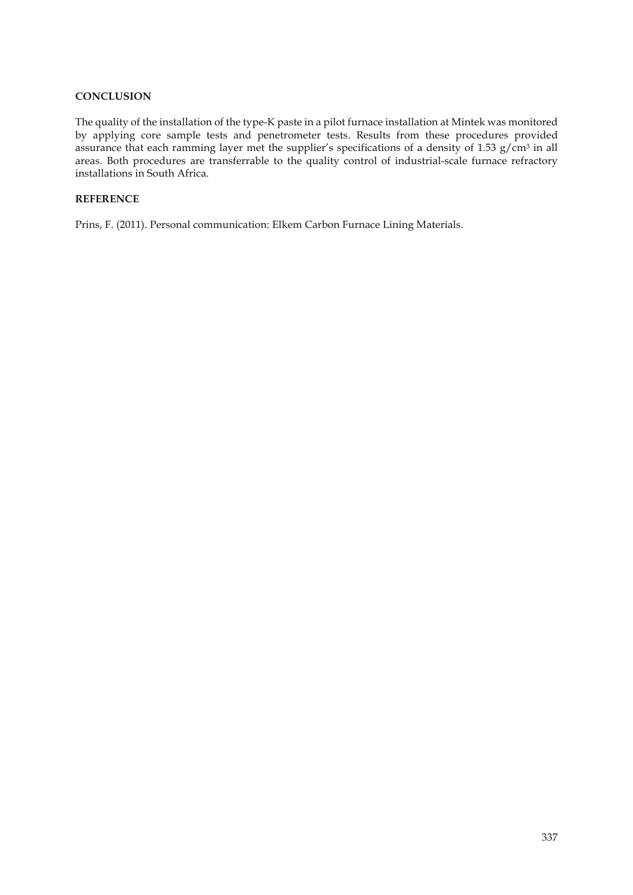#### **CONCLUSION**

The quality of the installation of the type-K paste in a pilot furnace installation at Mintek was monitored by applying core sample tests and penetrometer tests. Results from these procedures provided assurance that each ramming layer met the supplier's specifications of a density of 1.53  $g/cm^3$  in all areas. Both procedures are transferrable to the quality control of industrial-scale furnace refractory installations in South Africa.

#### **REFERENCE**

Prins, F. (2011). Personal communication: Elkem Carbon Furnace Lining Materials.